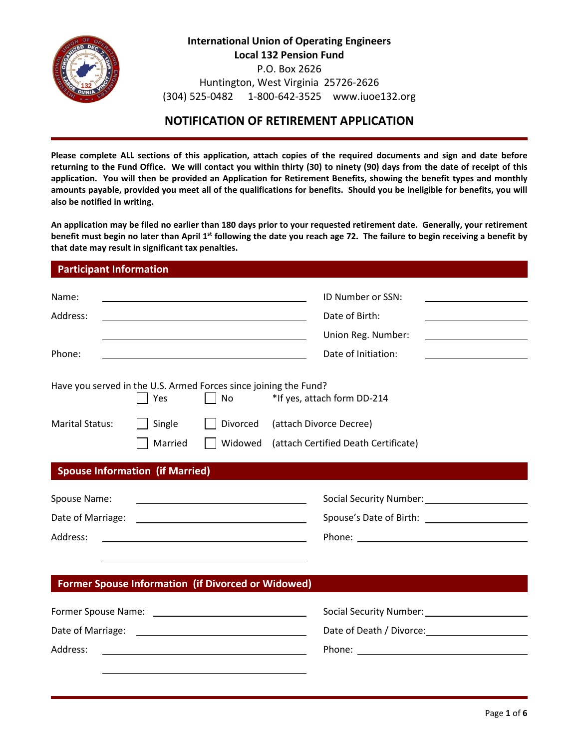

**International Union of Operating Engineers Local 132 Pension Fund** P.O. Box 2626 Huntington, West Virginia 25726-2626 (304) 525-0482 1-800-642-3525 www.iuoe132.org

# **NOTIFICATION OF RETIREMENT APPLICATION**

**Please complete ALL sections of this application, attach copies of the required documents and sign and date before returning to the Fund Office. We will contact you within thirty (30) to ninety (90) days from the date of receipt of this application. You will then be provided an Application for Retirement Benefits, showing the benefit types and monthly amounts payable, provided you meet all of the qualifications for benefits. Should you be ineligible for benefits, you will also be notified in writing.**

**An application may be filed no earlier than 180 days prior to your requested retirement date. Generally, your retirement benefit must begin no later than April 1st following the date you reach age 72. The failure to begin receiving a benefit by that date may result in significant tax penalties.**

# **Participant Information**

| Name:<br>Address:                                                |                   | <u> 1989 - Johann Barn, mars ann an t-Amhain Aonaich an t-Aonaich an t-Aonaich ann an t-Aonaich ann an t-Aonaich</u>   | ID Number or SSN:<br>Date of Birth:<br>Union Reg. Number:<br><u> 1989 - Johann Barbara, martxa alemaniar a</u>   |
|------------------------------------------------------------------|-------------------|------------------------------------------------------------------------------------------------------------------------|------------------------------------------------------------------------------------------------------------------|
| Phone:                                                           |                   | <u> 1980 - Johann Barn, fransk politik (d. 1980)</u>                                                                   | Date of Initiation:                                                                                              |
| Have you served in the U.S. Armed Forces since joining the Fund? | Yes               | No                                                                                                                     | *If yes, attach form DD-214                                                                                      |
| <b>Marital Status:</b>                                           | Single<br>Married | Divorced<br>Widowed                                                                                                    | (attach Divorce Decree)<br>(attach Certified Death Certificate)                                                  |
| <b>Spouse Information (if Married)</b>                           |                   |                                                                                                                        | and the control of the control of the control of the control of the control of the control of the control of the |
| Spouse Name:                                                     |                   |                                                                                                                        | Social Security Number: 1997                                                                                     |
| Date of Marriage:                                                |                   | <u> 1989 - Johann Barn, mars ann an t-Amhainn an t-Amhainn an t-Amhainn an t-Amhainn an t-Amhainn an t-Amhainn an </u> | Spouse's Date of Birth: _________________________                                                                |
| Address:                                                         |                   |                                                                                                                        |                                                                                                                  |
|                                                                  |                   |                                                                                                                        |                                                                                                                  |
| <b>Former Spouse Information (if Divorced or Widowed)</b>        |                   |                                                                                                                        |                                                                                                                  |
|                                                                  |                   |                                                                                                                        |                                                                                                                  |
|                                                                  |                   |                                                                                                                        | Date of Death / Divorce:                                                                                         |
| Address:                                                         |                   |                                                                                                                        |                                                                                                                  |
|                                                                  |                   |                                                                                                                        |                                                                                                                  |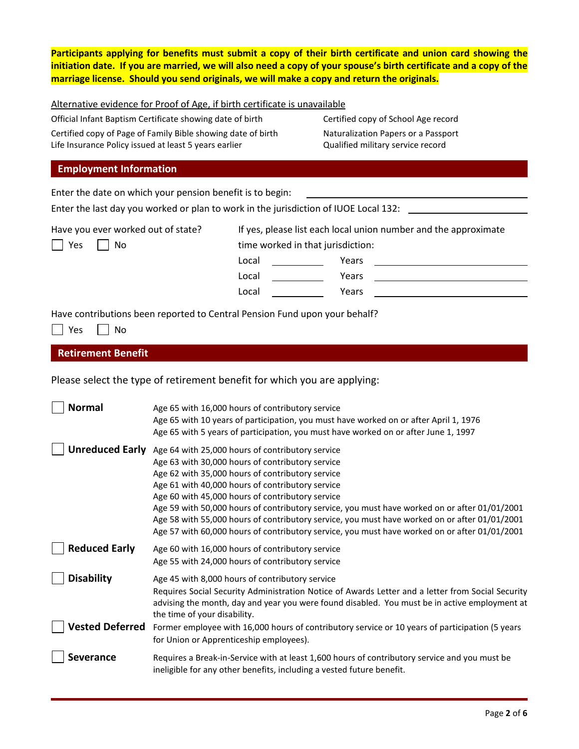**Participants applying for benefits must submit a copy of their birth certificate and union card showing the initiation date. If you are married, we will also need a copy of your spouse's birth certificate and a copy of the marriage license. Should you send originals, we will make a copy and return the originals.**

| Alternative evidence for Proof of Age, if birth certificate is unavailable |
|----------------------------------------------------------------------------|
|----------------------------------------------------------------------------|

Official Infant Baptism Certificate showing date of birth Certified copy of School Age record Certified copy of Page of Family Bible showing date of birth Naturalization Papers or a Passport Life Insurance Policy issued at least 5 years earlier **Qualified military service record** 

# **Employment Information**

Enter the date on which your pension benefit is to begin: Enter the last day you worked or plan to work in the jurisdiction of IUOE Local 132: Have you ever worked out of state? If yes, please list each local union number and the approximate  $\Box$  Yes  $\Box$  No time worked in that jurisdiction: Local Years Local Years Local Years Have contributions been reported to Central Pension Fund upon your behalf?

 $\Box$  Yes  $\Box$  No

**Retirement Benefit**

Please select the type of retirement benefit for which you are applying:

| Normal                 | Age 65 with 16,000 hours of contributory service                                                  |
|------------------------|---------------------------------------------------------------------------------------------------|
|                        | Age 65 with 10 years of participation, you must have worked on or after April 1, 1976             |
|                        | Age 65 with 5 years of participation, you must have worked on or after June 1, 1997               |
|                        | Unreduced Early Age 64 with 25,000 hours of contributory service                                  |
|                        | Age 63 with 30,000 hours of contributory service                                                  |
|                        | Age 62 with 35,000 hours of contributory service                                                  |
|                        | Age 61 with 40,000 hours of contributory service                                                  |
|                        | Age 60 with 45,000 hours of contributory service                                                  |
|                        | Age 59 with 50,000 hours of contributory service, you must have worked on or after 01/01/2001     |
|                        | Age 58 with 55,000 hours of contributory service, you must have worked on or after 01/01/2001     |
|                        | Age 57 with 60,000 hours of contributory service, you must have worked on or after 01/01/2001     |
| <b>Reduced Early</b>   | Age 60 with 16,000 hours of contributory service                                                  |
|                        | Age 55 with 24,000 hours of contributory service                                                  |
| <b>Disability</b>      | Age 45 with 8,000 hours of contributory service                                                   |
|                        | Requires Social Security Administration Notice of Awards Letter and a letter from Social Security |
|                        | advising the month, day and year you were found disabled. You must be in active employment at     |
|                        | the time of your disability.                                                                      |
| <b>Vested Deferred</b> | Former employee with 16,000 hours of contributory service or 10 years of participation (5 years   |
|                        | for Union or Apprenticeship employees).                                                           |
| <b>Severance</b>       | Requires a Break-in-Service with at least 1,600 hours of contributory service and you must be     |
|                        | ineligible for any other benefits, including a vested future benefit.                             |
|                        |                                                                                                   |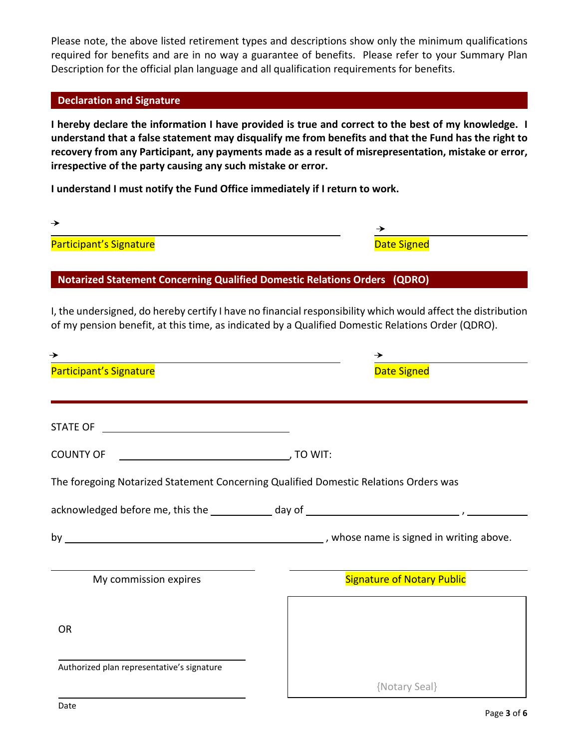Please note, the above listed retirement types and descriptions show only the minimum qualifications required for benefits and are in no way a guarantee of benefits. Please refer to your Summary Plan Description for the official plan language and all qualification requirements for benefits.

### **Declaration and Signature**

**I hereby declare the information I have provided is true and correct to the best of my knowledge. I understand that a false statement may disqualify me from benefits and that the Fund has the right to recovery from any Participant, any payments made as a result of misrepresentation, mistake or error, irrespective of the party causing any such mistake or error.**

**I understand I must notify the Fund Office immediately if I return to work.**

| →                       |             |  |
|-------------------------|-------------|--|
| Participant's Signature | Date Signed |  |

**Notarized Statement Concerning Qualified Domestic Relations Orders (QDRO)**

I, the undersigned, do hereby certify I have no financial responsibility which would affect the distribution of my pension benefit, at this time, as indicated by a Qualified Domestic Relations Order (QDRO).

| Participant's Signature                                                              | <b>Date Signed</b>                |
|--------------------------------------------------------------------------------------|-----------------------------------|
|                                                                                      |                                   |
|                                                                                      |                                   |
| <b>COUNTY OF</b>                                                                     |                                   |
| The foregoing Notarized Statement Concerning Qualified Domestic Relations Orders was |                                   |
|                                                                                      |                                   |
|                                                                                      |                                   |
| My commission expires                                                                | <b>Signature of Notary Public</b> |
| <b>OR</b>                                                                            |                                   |
| Authorized plan representative's signature                                           |                                   |
|                                                                                      | {Notary Seal}                     |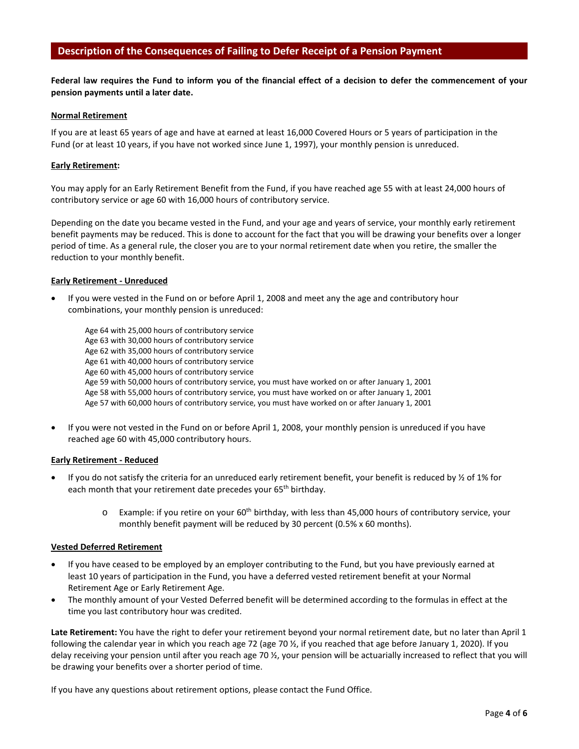### **Description of the Consequences of Failing to Defer Receipt of a Pension Payment**

**Federal law requires the Fund to inform you of the financial effect of a decision to defer the commencement of your pension payments until a later date.**

#### **Normal Retirement**

If you are at least 65 years of age and have at earned at least 16,000 Covered Hours or 5 years of participation in the Fund (or at least 10 years, if you have not worked since June 1, 1997), your monthly pension is unreduced.

#### **Early Retirement:**

You may apply for an Early Retirement Benefit from the Fund, if you have reached age 55 with at least 24,000 hours of contributory service or age 60 with 16,000 hours of contributory service.

Depending on the date you became vested in the Fund, and your age and years of service, your monthly early retirement benefit payments may be reduced. This is done to account for the fact that you will be drawing your benefits over a longer period of time. As a general rule, the closer you are to your normal retirement date when you retire, the smaller the reduction to your monthly benefit.

#### **Early Retirement - Unreduced**

• If you were vested in the Fund on or before April 1, 2008 and meet any the age and contributory hour combinations, your monthly pension is unreduced:

| Age 64 with 25,000 hours of contributory service                                                   |
|----------------------------------------------------------------------------------------------------|
| Age 63 with 30,000 hours of contributory service                                                   |
| Age 62 with 35,000 hours of contributory service                                                   |
| Age 61 with 40,000 hours of contributory service                                                   |
| Age 60 with 45,000 hours of contributory service                                                   |
| Age 59 with 50,000 hours of contributory service, you must have worked on or after January 1, 2001 |
| Age 58 with 55,000 hours of contributory service, you must have worked on or after January 1, 2001 |
| Age 57 with 60,000 hours of contributory service, you must have worked on or after January 1, 2001 |

• If you were not vested in the Fund on or before April 1, 2008, your monthly pension is unreduced if you have reached age 60 with 45,000 contributory hours.

#### **Early Retirement - Reduced**

- If you do not satisfy the criteria for an unreduced early retirement benefit, your benefit is reduced by  $\frac{1}{2}$  of 1% for each month that your retirement date precedes your 65<sup>th</sup> birthday.
	- $\circ$  Example: if you retire on your 60<sup>th</sup> birthday, with less than 45,000 hours of contributory service, your monthly benefit payment will be reduced by 30 percent (0.5% x 60 months).

#### **Vested Deferred Retirement**

- If you have ceased to be employed by an employer contributing to the Fund, but you have previously earned at least 10 years of participation in the Fund, you have a deferred vested retirement benefit at your Normal Retirement Age or Early Retirement Age.
- The monthly amount of your Vested Deferred benefit will be determined according to the formulas in effect at the time you last contributory hour was credited.

**Late Retirement:** You have the right to defer your retirement beyond your normal retirement date, but no later than April 1 following the calendar year in which you reach age 72 (age 70 ½, if you reached that age before January 1, 2020). If you delay receiving your pension until after you reach age 70 ½, your pension will be actuarially increased to reflect that you will be drawing your benefits over a shorter period of time.

If you have any questions about retirement options, please contact the Fund Office.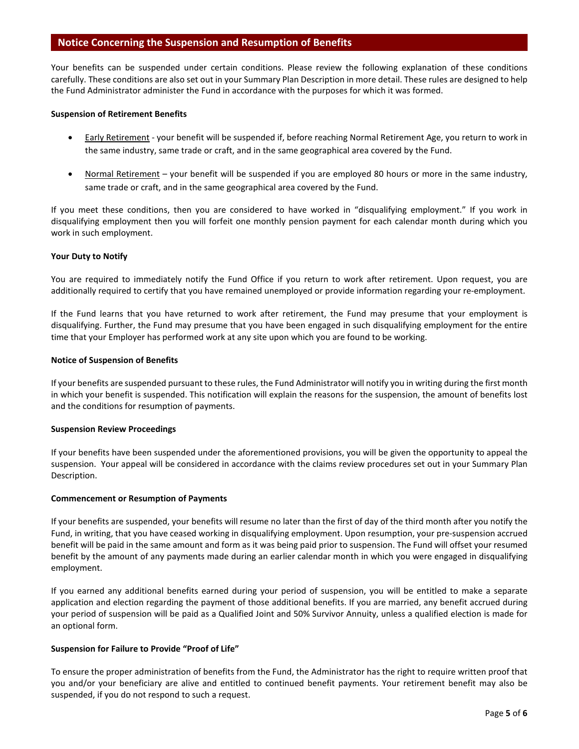#### **Notice Concerning the Suspension and Resumption of Benefits**

Your benefits can be suspended under certain conditions. Please review the following explanation of these conditions carefully. These conditions are also set out in your Summary Plan Description in more detail. These rules are designed to help the Fund Administrator administer the Fund in accordance with the purposes for which it was formed.

#### **Suspension of Retirement Benefits**

- Early Retirement your benefit will be suspended if, before reaching Normal Retirement Age, you return to work in the same industry, same trade or craft, and in the same geographical area covered by the Fund.
- Normal Retirement your benefit will be suspended if you are employed 80 hours or more in the same industry, same trade or craft, and in the same geographical area covered by the Fund.

If you meet these conditions, then you are considered to have worked in "disqualifying employment." If you work in disqualifying employment then you will forfeit one monthly pension payment for each calendar month during which you work in such employment.

#### **Your Duty to Notify**

You are required to immediately notify the Fund Office if you return to work after retirement. Upon request, you are additionally required to certify that you have remained unemployed or provide information regarding your re-employment.

If the Fund learns that you have returned to work after retirement, the Fund may presume that your employment is disqualifying. Further, the Fund may presume that you have been engaged in such disqualifying employment for the entire time that your Employer has performed work at any site upon which you are found to be working.

#### **Notice of Suspension of Benefits**

If your benefits are suspended pursuant to these rules, the Fund Administrator will notify you in writing during the first month in which your benefit is suspended. This notification will explain the reasons for the suspension, the amount of benefits lost and the conditions for resumption of payments.

#### **Suspension Review Proceedings**

If your benefits have been suspended under the aforementioned provisions, you will be given the opportunity to appeal the suspension. Your appeal will be considered in accordance with the claims review procedures set out in your Summary Plan Description.

#### **Commencement or Resumption of Payments**

If your benefits are suspended, your benefits will resume no later than the first of day of the third month after you notify the Fund, in writing, that you have ceased working in disqualifying employment. Upon resumption, your pre-suspension accrued benefit will be paid in the same amount and form as it was being paid prior to suspension. The Fund will offset your resumed benefit by the amount of any payments made during an earlier calendar month in which you were engaged in disqualifying employment.

If you earned any additional benefits earned during your period of suspension, you will be entitled to make a separate application and election regarding the payment of those additional benefits. If you are married, any benefit accrued during your period of suspension will be paid as a Qualified Joint and 50% Survivor Annuity, unless a qualified election is made for an optional form.

#### **Suspension for Failure to Provide "Proof of Life"**

To ensure the proper administration of benefits from the Fund, the Administrator has the right to require written proof that you and/or your beneficiary are alive and entitled to continued benefit payments. Your retirement benefit may also be suspended, if you do not respond to such a request.